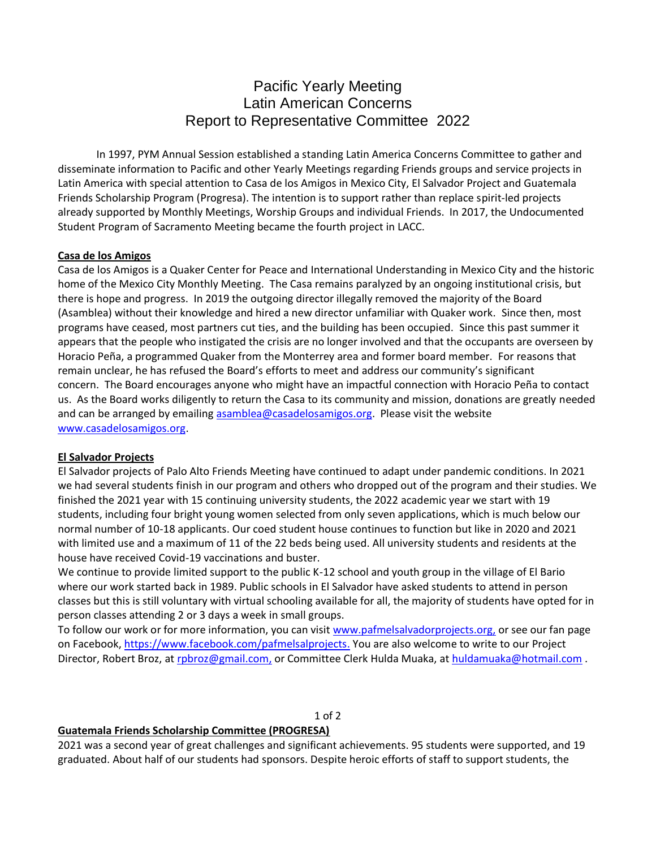# Pacific Yearly Meeting Latin American Concerns Report to Representative Committee 2022

In 1997, PYM Annual Session established a standing Latin America Concerns Committee to gather and disseminate information to Pacific and other Yearly Meetings regarding Friends groups and service projects in Latin America with special attention to Casa de los Amigos in Mexico City, El Salvador Project and Guatemala Friends Scholarship Program (Progresa). The intention is to support rather than replace spirit-led projects already supported by Monthly Meetings, Worship Groups and individual Friends. In 2017, the Undocumented Student Program of Sacramento Meeting became the fourth project in LACC.

### **Casa de los Amigos**

Casa de los Amigos is a Quaker Center for Peace and International Understanding in Mexico City and the historic home of the Mexico City Monthly Meeting. The Casa remains paralyzed by an ongoing institutional crisis, but there is hope and progress. In 2019 the outgoing director illegally removed the majority of the Board (Asamblea) without their knowledge and hired a new director unfamiliar with Quaker work. Since then, most programs have ceased, most partners cut ties, and the building has been occupied. Since this past summer it appears that the people who instigated the crisis are no longer involved and that the occupants are overseen by Horacio Peña, a programmed Quaker from the Monterrey area and former board member. For reasons that remain unclear, he has refused the Board's efforts to meet and address our community's significant concern. The Board encourages anyone who might have an impactful connection with Horacio Peña to contact us. As the Board works diligently to return the Casa to its community and mission, donations are greatly needed and can be arranged by emailing [asamblea@casadelosamigos.org.](mailto:asamblea@casadelosamigos.org) Please visit the website [www.casadelosamigos.org.](http://www.casadelosamigos.org/)

## **El Salvador Projects**

El Salvador projects of Palo Alto Friends Meeting have continued to adapt under pandemic conditions. In 2021 we had several students finish in our program and others who dropped out of the program and their studies. We finished the 2021 year with 15 continuing university students, the 2022 academic year we start with 19 students, including four bright young women selected from only seven applications, which is much below our normal number of 10-18 applicants. Our coed student house continues to function but like in 2020 and 2021 with limited use and a maximum of 11 of the 22 beds being used. All university students and residents at the house have received Covid-19 vaccinations and buster.

We continue to provide limited support to the public K-12 school and youth group in the village of El Bario where our work started back in 1989. Public schools in El Salvador have asked students to attend in person classes but this is still voluntary with virtual schooling available for all, the majority of students have opted for in person classes attending 2 or 3 days a week in small groups.

To follow our work or for more information, you can visit [www.pafmelsalvadorprojects.org,](http://www.pafmelsalvadorprojects.org/) or see our fan page on Facebook, [https://www.facebook.com/pafmelsalprojects.](https://www.facebook.com/pafmelsalprojects) You are also welcome to write to our Project Director, Robert Broz, at [rpbroz@gmail.com,](mailto:rpbroz@gmail.com) or Committee Clerk Hulda Muaka, at [huldamuaka@hotmail.com](mailto:huldamuaka@hotmail.com) .

#### 1 of 2

#### **Guatemala Friends Scholarship Committee (PROGRESA)**

2021 was a second year of great challenges and significant achievements. 95 students were supported, and 19 graduated. About half of our students had sponsors. Despite heroic efforts of staff to support students, the